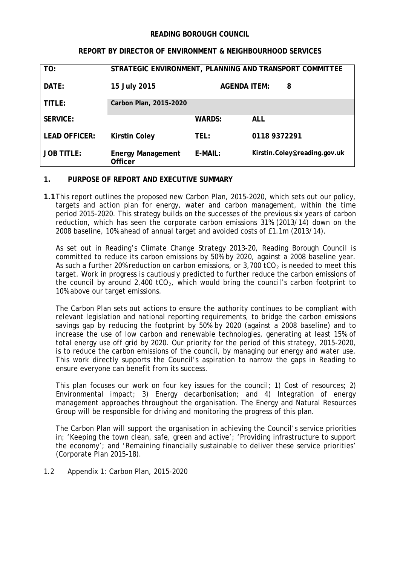### **READING BOROUGH COUNCIL**

### **REPORT BY DIRECTOR OF ENVIRONMENT & NEIGHBOURHOOD SERVICES**

| TO:                  | STRATEGIC ENVIRONMENT, PLANNING AND TRANSPORT COMMITTEE |                          |                              |
|----------------------|---------------------------------------------------------|--------------------------|------------------------------|
| DATE:                | 15 July 2015                                            | <b>AGENDA ITEM:</b><br>8 |                              |
| TITLE:               | Carbon Plan, 2015-2020                                  |                          |                              |
| <b>SERVICE:</b>      |                                                         | <b>WARDS:</b>            | <b>ALL</b>                   |
| <b>LEAD OFFICER:</b> | <b>Kirstin Coley</b>                                    | TEL:                     | 0118 9372291                 |
| <b>JOB TITLE:</b>    | <b>Energy Management</b><br><b>Officer</b>              | $E-MAIL:$                | Kirstin.Coley@reading.gov.uk |

# **1. PURPOSE OF REPORT AND EXECUTIVE SUMMARY**

**1.1**This report outlines the proposed new Carbon Plan, 2015-2020, which sets out our policy, targets and action plan for energy, water and carbon management, within the time period 2015-2020. This strategy builds on the successes of the previous six years of carbon reduction, which has seen the corporate carbon emissions 31% (2013/14) down on the 2008 baseline, 10% ahead of annual target and avoided costs of £1.1m (2013/14).

As set out in Reading's Climate Change Strategy 2013-20, Reading Borough Council is committed to reduce its carbon emissions by 50% by 2020, against a 2008 baseline year. As such a further 20% reduction on carbon emissions, or  $3,700$  tCO<sub>2</sub> is needed to meet this target. Work in progress is cautiously predicted to further reduce the carbon emissions of the council by around  $2,400$  tCO<sub>2</sub>, which would bring the council's carbon footprint to 10% above our target emissions.

The Carbon Plan sets out actions to ensure the authority continues to be compliant with relevant legislation and national reporting requirements, to bridge the carbon emissions savings gap by reducing the footprint by 50% by 2020 (against a 2008 baseline) and to increase the use of low carbon and renewable technologies, generating at least 15% of total energy use off grid by 2020. Our priority for the period of this strategy, 2015-2020, is to reduce the carbon emissions of the council, by managing our energy and water use. This work directly supports the Council's aspiration to narrow the gaps in Reading to ensure everyone can benefit from its success.

This plan focuses our work on four key issues for the council; 1) Cost of resources; 2) Environmental impact; 3) Energy decarbonisation; and 4) Integration of energy management approaches throughout the organisation. The Energy and Natural Resources Group will be responsible for driving and monitoring the progress of this plan.

The Carbon Plan will support the organisation in achieving the Council's service priorities in; 'Keeping the town clean, safe, green and active'; 'Providing infrastructure to support the economy'; and 'Remaining financially sustainable to deliver these service priorities' (Corporate Plan 2015-18).

1.2 Appendix 1: Carbon Plan, 2015-2020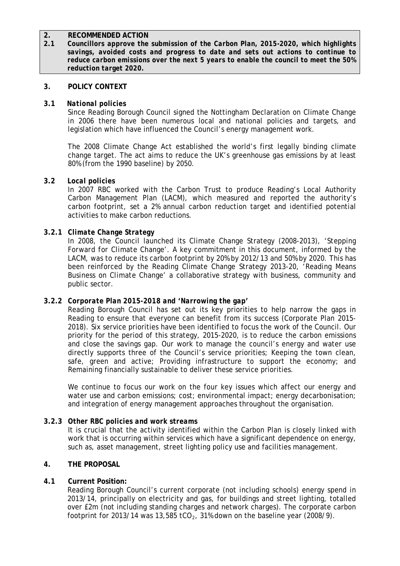# **2. RECOMMENDED ACTION**

**2.1** *Councillors approve the submission of the Carbon Plan, 2015-2020, which highlights savings, avoided costs and progress to date and sets out actions to continue to reduce carbon emissions over the next 5 years to enable the council to meet the 50% reduction target 2020.*

# **3. POLICY CONTEXT**

### **3.1** *National policies*

Since Reading Borough Council signed the Nottingham Declaration on Climate Change in 2006 there have been numerous local and national policies and targets, and legislation which have influenced the Council's energy management work.

The 2008 Climate Change Act established the world's first legally binding climate change target. The act aims to reduce the UK's greenhouse gas emissions by at least 80% (from the 1990 baseline) by 2050.

### **3.2** *Local policies*

In 2007 RBC worked with the Carbon Trust to produce Reading's Local Authority Carbon Management Plan (LACM), which measured and reported the authority's carbon footprint, set a 2% annual carbon reduction target and identified potential activities to make carbon reductions.

### **3.2.1** *Climate Change Strategy*

In 2008, the Council launched its Climate Change Strategy (2008-2013), '*Stepping Forward for Climate Change'*. A key commitment in this document, informed by the LACM, was to reduce its carbon footprint by 20% by 2012/13 and 50% by 2020. This has been reinforced by the Reading Climate Change Strategy 2013-20, '*Reading Means Business on Climate Change*' a collaborative strategy with business, community and public sector.

# **3.2.2** *Corporate Plan 2015-2018 and 'Narrowing the gap'*

Reading Borough Council has set out its key priorities to help narrow the gaps in Reading to ensure that everyone can benefit from its success (Corporate Plan 2015- 2018). Six service priorities have been identified to focus the work of the Council. Our priority for the period of this strategy, 2015-2020, is to reduce the carbon emissions and close the savings gap. Our work to manage the council's energy and water use directly supports three of the Council's service priorities; Keeping the town clean, safe, green and active; Providing infrastructure to support the economy; and Remaining financially sustainable to deliver these service priorities.

We continue to focus our work on the four key issues which affect our energy and water use and carbon emissions; cost; environmental impact; energy decarbonisation; and integration of energy management approaches throughout the organisation.

#### **3.2.3** *Other RBC policies and work streams*

It is crucial that the activity identified within the Carbon Plan is closely linked with work that is occurring within services which have a significant dependence on energy, such as, asset management, street lighting policy use and facilities management.

# **4. THE PROPOSAL**

# **4.1 Current Position:**

Reading Borough Council's current corporate (not including schools) energy spend in 2013/14, principally on electricity and gas, for buildings and street lighting, totalled over £2m (not including standing charges and network charges). The corporate carbon footprint for 2013/14 was 13,585 tCO<sub>2</sub>, 31% down on the baseline year (2008/9).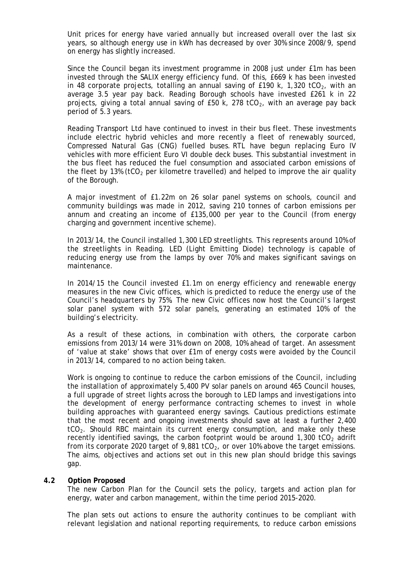Unit prices for energy have varied annually but increased overall over the last six years, so although energy use in kWh has decreased by over 30% since 2008/9, spend on energy has slightly increased.

Since the Council began its investment programme in 2008 just under £1m has been invested through the SALIX energy efficiency fund. Of this, £669 k has been invested in 48 corporate projects, totalling an annual saving of £190 k, 1,320 tCO<sub>2</sub>, with an average 3.5 year pay back. Reading Borough schools have invested £261 k in 22 projects, giving a total annual saving of  $E50$  k, 278 tCO<sub>2</sub>, with an average pay back period of 5.3 years.

Reading Transport Ltd have continued to invest in their bus fleet. These investments include electric hybrid vehicles and more recently a fleet of renewably sourced, Compressed Natural Gas (CNG) fuelled buses. RTL have begun replacing Euro IV vehicles with more efficient Euro VI double deck buses. This substantial investment in the bus fleet has reduced the fuel consumption and associated carbon emissions of the fleet by 13% (tCO<sub>2</sub> per kilometre travelled) and helped to improve the air quality of the Borough.

A major investment of £1.22m on 26 solar panel systems on schools, council and community buildings was made in 2012, saving 210 tonnes of carbon emissions per annum and creating an income of £135,000 per year to the Council (from energy charging and government incentive scheme).

In 2013/14, the Council installed 1,300 LED streetlights. This represents around 10% of the streetlights in Reading. LED (Light Emitting Diode) technology is capable of reducing energy use from the lamps by over 70% and makes significant savings on maintenance.

In 2014/15 the Council invested £1.1m on energy efficiency and renewable energy measures in the new Civic offices, which is predicted to reduce the energy use of the Council's headquarters by 75%. The new Civic offices now host the Council's largest solar panel system with 572 solar panels, generating an estimated 10% of the building's electricity.

As a result of these actions, in combination with others, the corporate carbon emissions from 2013/14 were 31% down on 2008, 10% ahead of target. An assessment of 'value at stake' shows that over £1m of energy costs were avoided by the Council in 2013/14, compared to no action being taken.

Work is ongoing to continue to reduce the carbon emissions of the Council, including the installation of approximately 5,400 PV solar panels on around 465 Council houses, a full upgrade of street lights across the borough to LED lamps and investigations into the development of energy performance contracting schemes to invest in whole building approaches with guaranteed energy savings. Cautious predictions estimate that the most recent and ongoing investments should save at least a further 2,400 tCO<sub>2</sub>. Should RBC maintain its current energy consumption, and make only these recently identified savings, the carbon footprint would be around  $1,300$  tCO<sub>2</sub> adrift from its corporate 2020 target of 9,881 tCO<sub>2</sub>, or over 10% above the target emissions. The aims, objectives and actions set out in this new plan should bridge this savings gap.

#### **4.2 Option Proposed**

The new Carbon Plan for the Council sets the policy, targets and action plan for energy, water and carbon management, within the time period 2015-2020.

The plan sets out actions to ensure the authority continues to be compliant with relevant legislation and national reporting requirements, to reduce carbon emissions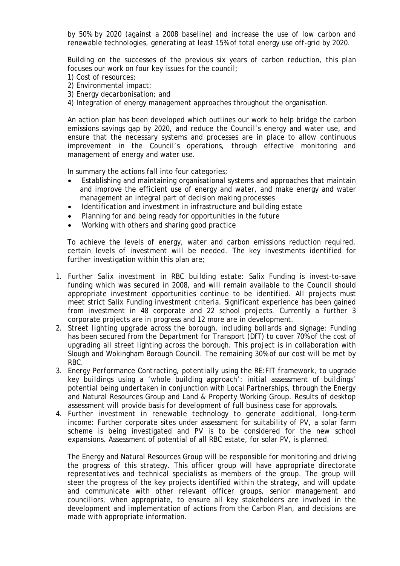by 50% by 2020 (against a 2008 baseline) and increase the use of low carbon and renewable technologies, generating at least 15% of total energy use off-grid by 2020.

Building on the successes of the previous six years of carbon reduction, this plan focuses our work on four key issues for the council;

- 1) Cost of resources;
- 2) Environmental impact;
- 3) Energy decarbonisation; and
- 4) Integration of energy management approaches throughout the organisation.

An action plan has been developed which outlines our work to help bridge the carbon emissions savings gap by 2020, and reduce the Council's energy and water use, and ensure that the necessary systems and processes are in place to allow continuous improvement in the Council's operations, through effective monitoring and management of energy and water use.

In summary the actions fall into four categories;

- Establishing and maintaining organisational systems and approaches that maintain and improve the efficient use of energy and water, and make energy and water management an integral part of decision making processes
- Identification and investment in infrastructure and building estate
- Planning for and being ready for opportunities in the future
- Working with others and sharing good practice

To achieve the levels of energy, water and carbon emissions reduction required, certain levels of investment will be needed. The key investments identified for further investigation within this plan are;

- 1. *Further Salix investment in RBC building estate*: Salix Funding is invest-to-save funding which was secured in 2008, and will remain available to the Council should appropriate investment opportunities continue to be identified. All projects must meet strict Salix Funding investment criteria. Significant experience has been gained from investment in 48 corporate and 22 school projects. Currently a further 3 corporate projects are in progress and 12 more are in development.
- 2. *Street lighting upgrade across the borough, including bollards and signage*: Funding has been secured from the Department for Transport (DfT) to cover 70% of the cost of upgrading all street lighting across the borough. This project is in collaboration with Slough and Wokingham Borough Council. The remaining 30% of our cost will be met by RBC.
- 3. *Energy Performance Contracting, potentially using the RE:FIT framework, to upgrade key buildings using a 'whole building approach'*: initial assessment of buildings' potential being undertaken in conjunction with Local Partnerships, through the Energy and Natural Resources Group and Land & Property Working Group. Results of desktop assessment will provide basis for development of full business case for approvals.
- 4. *Further investment in renewable technology to generate additional, long-term income*: Further corporate sites under assessment for suitability of PV, a solar farm scheme is being investigated and PV is to be considered for the new school expansions. Assessment of potential of all RBC estate, for solar PV, is planned.

The Energy and Natural Resources Group will be responsible for monitoring and driving the progress of this strategy. This officer group will have appropriate directorate representatives and technical specialists as members of the group. The group will steer the progress of the key projects identified within the strategy, and will update and communicate with other relevant officer groups, senior management and councillors, when appropriate, to ensure all key stakeholders are involved in the development and implementation of actions from the Carbon Plan, and decisions are made with appropriate information.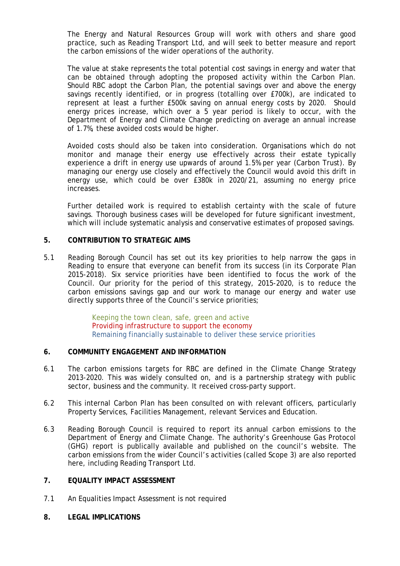The Energy and Natural Resources Group will work with others and share good practice, such as Reading Transport Ltd, and will seek to better measure and report the carbon emissions of the wider operations of the authority.

The value at stake represents the total potential cost savings in energy and water that can be obtained through adopting the proposed activity within the Carbon Plan. Should RBC adopt the Carbon Plan, the potential savings over and above the energy savings recently identified, or in progress (totalling over £700k), are indicated to represent at least a further £500k saving on annual energy costs by 2020. Should energy prices increase, which over a 5 year period is likely to occur, with the Department of Energy and Climate Change predicting on average an annual increase of 1.7%, these avoided costs would be higher.

Avoided costs should also be taken into consideration. Organisations which do not monitor and manage their energy use effectively across their estate typically experience a drift in energy use upwards of around 1.5% per year (Carbon Trust). By managing our energy use closely and effectively the Council would avoid this drift in energy use, which could be over £380k in 2020/21, assuming no energy price increases.

Further detailed work is required to establish certainty with the scale of future savings. Thorough business cases will be developed for future significant investment, which will include systematic analysis and conservative estimates of proposed savings.

### **5. CONTRIBUTION TO STRATEGIC AIMS**

5.1 Reading Borough Council has set out its key priorities to help narrow the gaps in Reading to ensure that everyone can benefit from its success (in its Corporate Plan 2015-2018). Six service priorities have been identified to focus the work of the Council. Our priority for the period of this strategy, 2015-2020, is to reduce the carbon emissions savings gap and our work to manage our energy and water use directly supports three of the Council's service priorities;

> Keeping the town clean, safe, green and active Providing infrastructure to support the economy Remaining financially sustainable to deliver these service priorities

# **6. COMMUNITY ENGAGEMENT AND INFORMATION**

- 6.1 The carbon emissions targets for RBC are defined in the Climate Change Strategy 2013-2020. This was widely consulted on, and is a partnership strategy with public sector, business and the community. It received cross-party support.
- 6.2 This internal Carbon Plan has been consulted on with relevant officers, particularly Property Services, Facilities Management, relevant Services and Education.
- 6.3 Reading Borough Council is required to report its annual carbon emissions to the Department of Energy and Climate Change. The authority's Greenhouse Gas Protocol (GHG) report is publically available and published on the council's website. The carbon emissions from the wider Council's activities (called Scope 3) are also reported here, including Reading Transport Ltd.

# **7. EQUALITY IMPACT ASSESSMENT**

- 7.1 An Equalities Impact Assessment is not required
- **8. LEGAL IMPLICATIONS**